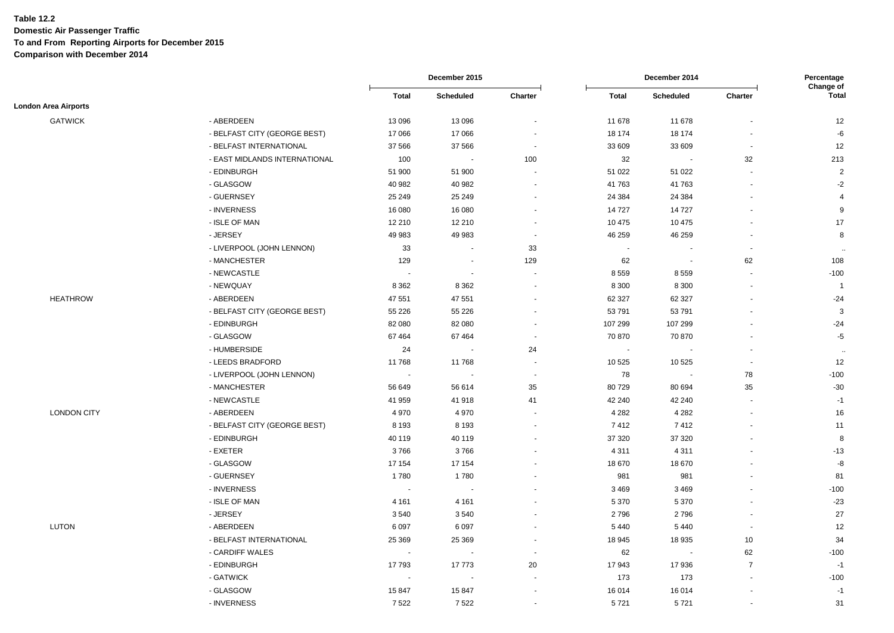|                             |                               | December 2015 |                          |                          | December 2014 |                          |                          | Percentage<br>Change of |
|-----------------------------|-------------------------------|---------------|--------------------------|--------------------------|---------------|--------------------------|--------------------------|-------------------------|
|                             |                               | <b>Total</b>  | <b>Scheduled</b>         | Charter                  | <b>Total</b>  | <b>Scheduled</b>         | Charter                  | <b>Total</b>            |
| <b>London Area Airports</b> |                               |               |                          |                          |               |                          |                          |                         |
| <b>GATWICK</b>              | - ABERDEEN                    | 13 0 96       | 13 096                   | $\sim$                   | 11 678        | 11 678                   |                          | 12                      |
|                             | - BELFAST CITY (GEORGE BEST)  | 17 066        | 17 066                   |                          | 18 174        | 18 174                   |                          | $-6$                    |
|                             | - BELFAST INTERNATIONAL       | 37 566        | 37 566                   |                          | 33 609        | 33 609                   | $\overline{\phantom{a}}$ | 12                      |
|                             | - EAST MIDLANDS INTERNATIONAL | 100           | $\blacksquare$           | 100                      | 32            | $\blacksquare$           | 32                       | 213                     |
|                             | - EDINBURGH                   | 51 900        | 51 900                   |                          | 51 0 22       | 51 022                   |                          | $\overline{2}$          |
|                             | - GLASGOW                     | 40 982        | 40 982                   | $\sim$                   | 41763         | 41 763                   |                          | $-2$                    |
|                             | - GUERNSEY                    | 25 249        | 25 249                   |                          | 24 3 84       | 24 3 84                  |                          | $\overline{4}$          |
|                             | - INVERNESS                   | 16 080        | 16 080                   |                          | 14 727        | 14727                    |                          | 9                       |
|                             | - ISLE OF MAN                 | 12 210        | 12 210                   |                          | 10 475        | 10 475                   |                          | 17                      |
|                             | - JERSEY                      | 49 983        | 49 983                   | $\sim$                   | 46 259        | 46 259                   |                          | 8                       |
|                             | - LIVERPOOL (JOHN LENNON)     | 33            | $\sim$                   | 33                       |               | $\overline{\phantom{a}}$ |                          | $\ddot{\phantom{a}}$    |
|                             | - MANCHESTER                  | 129           | $\overline{\phantom{a}}$ | 129                      | 62            | $\blacksquare$           | 62                       | 108                     |
|                             | - NEWCASTLE                   |               | $\sim$                   |                          | 8559          | 8559                     |                          | $-100$                  |
|                             | - NEWQUAY                     | 8 3 6 2       | 8 3 6 2                  | $\sim$                   | 8 3 0 0       | 8 3 0 0                  |                          | $\overline{1}$          |
| <b>HEATHROW</b>             | - ABERDEEN                    | 47 551        | 47 551                   |                          | 62 327        | 62 327                   |                          | $-24$                   |
|                             | - BELFAST CITY (GEORGE BEST)  | 55 2 26       | 55 226                   |                          | 53 791        | 53791                    |                          | $\mathbf{3}$            |
|                             | - EDINBURGH                   | 82 080        | 82 080                   |                          | 107 299       | 107 299                  |                          | $-24$                   |
|                             | - GLASGOW                     | 67464         | 67 4 64                  | $\sim$                   | 70 870        | 70 870                   |                          | $-5$                    |
|                             | - HUMBERSIDE                  | 24            | $\blacksquare$           | 24                       | $\sim$        | $\overline{\phantom{a}}$ |                          | $\ddot{\phantom{a}}$    |
|                             | - LEEDS BRADFORD              | 11768         | 11768                    | $\sim$                   | 10 5 25       | 10 5 25                  |                          | 12                      |
|                             | - LIVERPOOL (JOHN LENNON)     | $\sim$        | $\blacksquare$           | $\sim$                   | 78            | $\sim$                   | 78                       | $-100$                  |
|                             | - MANCHESTER                  | 56 649        | 56 614                   | 35                       | 80729         | 80 694                   | 35                       | $-30$                   |
|                             | - NEWCASTLE                   | 41 959        | 41 918                   | 41                       | 42 240        | 42 240                   | $\overline{\phantom{a}}$ | $-1$                    |
| <b>LONDON CITY</b>          | - ABERDEEN                    | 4 9 7 0       | 4 9 7 0                  | $\overline{\phantom{a}}$ | 4 2 8 2       | 4 2 8 2                  |                          | 16                      |
|                             | - BELFAST CITY (GEORGE BEST)  | 8 1 9 3       | 8 1 9 3                  |                          | 7412          | 7412                     |                          | 11                      |
|                             | - EDINBURGH                   | 40 119        | 40 119                   |                          | 37 320        | 37 320                   |                          | 8                       |
|                             | - EXETER                      | 3766          | 3766                     |                          | 4 3 1 1       | 4 3 1 1                  |                          | $-13$                   |
|                             | - GLASGOW                     | 17 154        | 17 154                   |                          | 18 670        | 18 670                   |                          | $-8$                    |
|                             | - GUERNSEY                    | 1780          | 1780                     |                          | 981           | 981                      |                          | 81                      |
|                             |                               | $\sim$        | $\tilde{\phantom{a}}$    |                          |               |                          |                          | $-100$                  |
|                             | - INVERNESS<br>- ISLE OF MAN  |               |                          |                          | 3 4 6 9       | 3469                     |                          |                         |
|                             |                               | 4 1 6 1       | 4 1 6 1                  |                          | 5 3 7 0       | 5 3 7 0                  |                          | $-23$                   |
|                             | - JERSEY                      | 3540          | 3540                     |                          | 2796          | 2796                     |                          | 27                      |
| <b>LUTON</b>                | - ABERDEEN                    | 6 0 9 7       | 6 0 9 7                  |                          | 5440          | 5 4 4 0                  |                          | 12                      |
|                             | - BELFAST INTERNATIONAL       | 25 3 69       | 25 369                   |                          | 18 945        | 18 935                   | 10                       | 34                      |
|                             | - CARDIFF WALES               | $\sim$        | $\sim$                   | $\sim$                   | 62            | $\tilde{\phantom{a}}$    | 62                       | $-100$                  |
|                             | - EDINBURGH                   | 17793         | 17773                    | 20                       | 17943         | 17936                    | $\overline{7}$           | $-1$                    |
|                             | - GATWICK                     |               | $\sim$                   | $\overline{\phantom{a}}$ | 173           | 173                      |                          | $-100$                  |
|                             | - GLASGOW                     | 15847         | 15 847                   |                          | 16 014        | 16 014                   |                          | $-1$                    |
|                             | - INVERNESS                   | 7522          | 7522                     |                          | 5721          | 5721                     |                          | 31                      |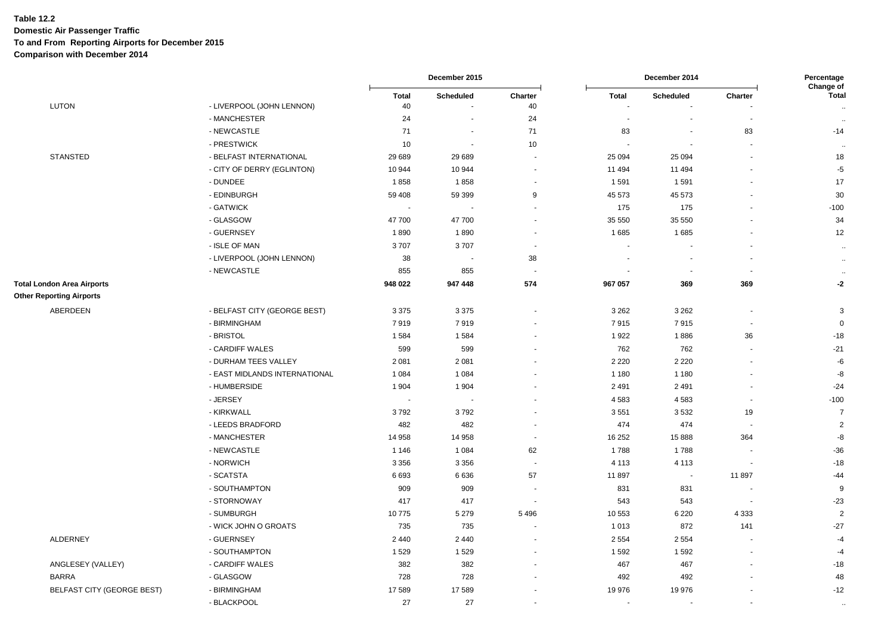|                                                                      |                                        | December 2015            |                          | December 2014            |              |                          | Percentage<br>Change of  |                      |
|----------------------------------------------------------------------|----------------------------------------|--------------------------|--------------------------|--------------------------|--------------|--------------------------|--------------------------|----------------------|
| <b>LUTON</b>                                                         | - LIVERPOOL (JOHN LENNON)              | <b>Total</b><br>40       | <b>Scheduled</b>         | Charter<br>40            | <b>Total</b> | Scheduled                | Charter                  | <b>Total</b>         |
|                                                                      | - MANCHESTER                           | 24                       |                          | 24                       |              |                          |                          | $\ddot{\phantom{a}}$ |
|                                                                      | - NEWCASTLE                            | 71                       |                          | 71                       | 83           |                          | 83                       | ٠.,<br>$-14$         |
|                                                                      | - PRESTWICK                            | 10                       | $\overline{\phantom{a}}$ | 10                       |              |                          |                          |                      |
| <b>STANSTED</b>                                                      | - BELFAST INTERNATIONAL                | 29 689                   | 29 689                   | $\overline{\phantom{a}}$ | 25 094       | 25 094                   |                          | ٠.,<br>18            |
|                                                                      |                                        |                          |                          |                          |              |                          |                          |                      |
|                                                                      | - CITY OF DERRY (EGLINTON)<br>- DUNDEE | 10 944                   | 10 944                   | $\overline{a}$           | 11 494       | 11 494                   |                          | $-5$                 |
|                                                                      |                                        | 1858                     | 1858                     | ÷,                       | 1591         | 1591                     |                          | $17$                 |
|                                                                      | - EDINBURGH                            | 59 408                   | 59 399                   | 9                        | 45 573       | 45 573                   |                          | 30                   |
|                                                                      | - GATWICK                              | $\overline{\phantom{a}}$ |                          |                          | 175          | 175                      |                          | $-100$               |
|                                                                      | - GLASGOW                              | 47700                    | 47 700                   | ÷                        | 35 550       | 35 550                   |                          | 34                   |
|                                                                      | - GUERNSEY                             | 1890                     | 1890                     |                          | 1685         | 1685                     |                          | 12                   |
|                                                                      | - ISLE OF MAN                          | 3707                     | 3707                     | ÷                        |              |                          |                          | $\ddot{\phantom{1}}$ |
|                                                                      | - LIVERPOOL (JOHN LENNON)              | 38                       | $\blacksquare$           | 38                       |              |                          |                          | $\sim$               |
|                                                                      | - NEWCASTLE                            | 855                      | 855                      | $\overline{\phantom{a}}$ |              | $\overline{\phantom{a}}$ |                          | $\ddot{\phantom{a}}$ |
| <b>Total London Area Airports</b><br><b>Other Reporting Airports</b> |                                        | 948 022                  | 947 448                  | 574                      | 967 057      | 369                      | 369                      | $-2$                 |
| ABERDEEN                                                             | - BELFAST CITY (GEORGE BEST)           | 3 3 7 5                  | 3 3 7 5                  | ٠                        | 3 2 6 2      | 3 2 6 2                  |                          | 3                    |
|                                                                      | - BIRMINGHAM                           | 7919                     | 7919                     |                          | 7915         | 7915                     | $\overline{\phantom{a}}$ | $\mathbf 0$          |
|                                                                      | - BRISTOL                              | 1584                     | 1584                     |                          | 1922         | 1886                     | 36                       | $-18$                |
|                                                                      | - CARDIFF WALES                        | 599                      | 599                      |                          | 762          | 762                      |                          | $-21$                |
|                                                                      | - DURHAM TEES VALLEY                   | 2 0 8 1                  | 2 0 8 1                  |                          | 2 2 2 0      | 2 2 2 0                  |                          | -6                   |
|                                                                      | - EAST MIDLANDS INTERNATIONAL          | 1 0 8 4                  | 1 0 8 4                  |                          | 1 1 8 0      | 1 1 8 0                  |                          | -8                   |
|                                                                      | - HUMBERSIDE                           | 1 9 0 4                  | 1 904                    |                          | 2491         | 2 4 9 1                  |                          | $-24$                |
|                                                                      | - JERSEY                               |                          |                          |                          | 4583         | 4583                     |                          | $-100$               |
|                                                                      | - KIRKWALL                             | 3792                     | 3792                     |                          | 3551         | 3532                     | 19                       | $\overline{7}$       |
|                                                                      | - LEEDS BRADFORD                       | 482                      | 482                      |                          | 474          | 474                      |                          | $\overline{2}$       |
|                                                                      | - MANCHESTER                           | 14 958                   | 14 958                   | ÷.                       | 16 25 2      | 15 8 88                  | 364                      | -8                   |
|                                                                      | - NEWCASTLE                            | 1 1 4 6                  | 1 0 8 4                  | 62                       | 1788         | 1788                     |                          | $-36$                |
|                                                                      | - NORWICH                              | 3 3 5 6                  | 3 3 5 6                  | $\overline{\phantom{a}}$ | 4 1 1 3      | 4 1 1 3                  |                          | $-18$                |
|                                                                      | - SCATSTA                              | 6693                     | 6636                     | 57                       | 11897        | $\sim$                   | 11897                    | $-44$                |
|                                                                      | - SOUTHAMPTON                          | 909                      | 909                      |                          | 831          | 831                      |                          | 9                    |
|                                                                      | - STORNOWAY                            | 417                      | 417                      | <b>.</b>                 | 543          | 543                      |                          | $-23$                |
|                                                                      | - SUMBURGH                             | 10775                    | 5 2 7 9                  | 5496                     | 10 553       | 6 2 2 0                  | 4 3 3 3                  | $\overline{2}$       |
|                                                                      | - WICK JOHN O GROATS                   | 735                      | 735                      |                          | 1 0 1 3      | 872                      | 141                      | $-27$                |
| <b>ALDERNEY</b>                                                      | - GUERNSEY                             | 2 4 4 0                  | 2 4 4 0                  |                          | 2 5 5 4      | 2 5 5 4                  |                          | $-4$                 |
|                                                                      | - SOUTHAMPTON                          | 1529                     | 1529                     |                          | 1592         | 1592                     |                          | $-4$                 |
| ANGLESEY (VALLEY)                                                    | - CARDIFF WALES                        | 382                      | 382                      |                          | 467          | 467                      |                          | $-18$                |
| <b>BARRA</b>                                                         | - GLASGOW                              | 728                      | 728                      |                          | 492          | 492                      |                          | 48                   |
| BELFAST CITY (GEORGE BEST)                                           | - BIRMINGHAM                           | 17 589                   | 17589                    |                          | 19 976       | 19976                    |                          | $-12$                |
|                                                                      | - BLACKPOOL                            | 27                       | 27                       |                          |              |                          |                          | $\ddot{\phantom{0}}$ |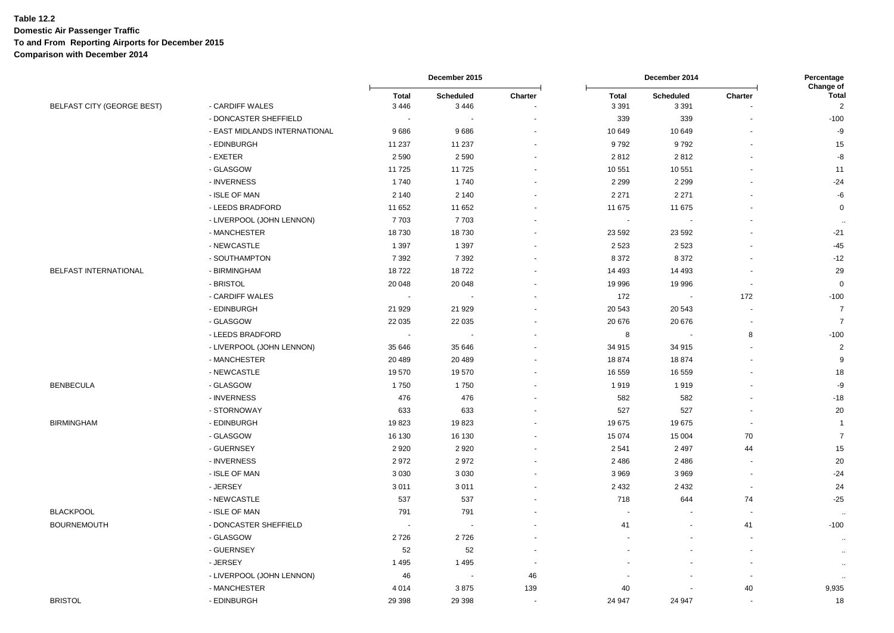|                            |                                           | December 2015            |                   |                          | December 2014            |                          |                          | Percentage                                  |
|----------------------------|-------------------------------------------|--------------------------|-------------------|--------------------------|--------------------------|--------------------------|--------------------------|---------------------------------------------|
| BELFAST CITY (GEORGE BEST) | - CARDIFF WALES                           | <b>Total</b><br>3 4 4 6  | Scheduled<br>3446 | Charter                  | <b>Total</b><br>3 3 9 1  | Scheduled<br>3 3 9 1     | Charter                  | Change of<br><b>Total</b><br>$\overline{2}$ |
|                            | - DONCASTER SHEFFIELD                     | $\overline{\phantom{a}}$ |                   |                          | 339                      | 339                      |                          | $-100$                                      |
|                            | - EAST MIDLANDS INTERNATIONAL             | 9686                     | 9686              |                          | 10 649                   | 10 649                   |                          | -9                                          |
|                            | - EDINBURGH                               | 11 237                   | 11 237            |                          | 9792                     | 9792                     |                          | 15                                          |
|                            | - EXETER                                  | 2590                     | 2 5 9 0           |                          | 2812                     | 2812                     |                          | -8                                          |
|                            | - GLASGOW                                 | 11725                    | 11725             |                          | 10 551                   | 10 551                   |                          | 11                                          |
|                            | - INVERNESS                               | 1740                     | 1740              |                          | 2 2 9 9                  | 2 2 9 9                  |                          | $-24$                                       |
|                            | - ISLE OF MAN                             | 2 1 4 0                  | 2 1 4 0           |                          | 2 2 7 1                  | 2 2 7 1                  |                          | $-6$                                        |
|                            | - LEEDS BRADFORD                          | 11 652                   | 11 652            |                          | 11 675                   | 11 675                   |                          | $\mathbf 0$                                 |
|                            | - LIVERPOOL (JOHN LENNON)                 | 7703                     | 7703              |                          | $\overline{\phantom{a}}$ |                          |                          |                                             |
|                            | - MANCHESTER                              | 18730                    | 18730             |                          | 23 5 9 2                 | 23 5 9 2                 |                          | $-21$                                       |
|                            | - NEWCASTLE                               | 1 3 9 7                  | 1 3 9 7           |                          | 2 5 2 3                  | 2523                     |                          | $-45$                                       |
|                            | - SOUTHAMPTON                             | 7 3 9 2                  | 7 3 9 2           |                          | 8 3 7 2                  | 8 3 7 2                  |                          | $-12$                                       |
| BELFAST INTERNATIONAL      | - BIRMINGHAM                              | 18722                    | 18722             |                          | 14 4 93                  | 14 4 93                  |                          | 29                                          |
|                            | - BRISTOL                                 | 20 048                   |                   |                          |                          |                          | $\blacksquare$           | $\mathbf 0$                                 |
|                            | - CARDIFF WALES                           |                          | 20 048            |                          | 19 996<br>172            | 19 996<br>$\blacksquare$ | 172                      | $-100$                                      |
|                            | - EDINBURGH                               | 21 9 29                  | 21 9 29           |                          | 20 543                   | 20 543                   |                          | $\overline{7}$                              |
|                            | - GLASGOW                                 | 22 0 35                  | 22 0 35           |                          | 20 676                   | 20 676                   | $\blacksquare$           | $\overline{7}$                              |
|                            | - LEEDS BRADFORD                          | $\overline{\phantom{a}}$ |                   |                          | 8                        | ÷,                       | 8                        | $-100$                                      |
|                            |                                           |                          |                   |                          |                          |                          | ÷.                       | $\overline{2}$                              |
|                            | - LIVERPOOL (JOHN LENNON)<br>- MANCHESTER | 35 646                   | 35 646            |                          | 34 915<br>18874          | 34 915<br>18874          |                          | 9                                           |
|                            |                                           | 20 489                   | 20 489            |                          |                          |                          |                          |                                             |
|                            | - NEWCASTLE                               | 19570                    | 19570             |                          | 16 559                   | 16 559                   |                          | 18                                          |
| <b>BENBECULA</b>           | - GLASGOW                                 | 1750                     | 1750              |                          | 1919                     | 1919                     |                          | -9                                          |
|                            | - INVERNESS                               | 476                      | 476               |                          | 582                      | 582                      |                          | $-18$                                       |
|                            | - STORNOWAY                               | 633                      | 633               |                          | 527                      | 527                      |                          | 20                                          |
| <b>BIRMINGHAM</b>          | - EDINBURGH                               | 19823                    | 19823             |                          | 19675                    | 19675                    |                          | $\overline{1}$                              |
|                            | - GLASGOW                                 | 16 130                   | 16 130            |                          | 15 0 74                  | 15 004                   | 70                       | $\overline{7}$                              |
|                            | - GUERNSEY                                | 2920                     | 2920              |                          | 2541                     | 2 4 9 7                  | 44                       | 15                                          |
|                            | - INVERNESS                               | 2972                     | 2972              |                          | 2 4 8 6                  | 2 4 8 6                  | $\blacksquare$           | 20                                          |
|                            | - ISLE OF MAN                             | 3 0 3 0                  | 3 0 3 0           |                          | 3 9 6 9                  | 3969                     | $\blacksquare$           | $-24$                                       |
|                            | - JERSEY                                  | 3011                     | 3011              |                          | 2 4 3 2                  | 2 4 3 2                  | $\blacksquare$           | 24                                          |
|                            | - NEWCASTLE                               | 537                      | 537               |                          | 718                      | 644                      | 74                       | $-25$                                       |
| <b>BLACKPOOL</b>           | - ISLE OF MAN                             | 791                      | 791               |                          | $\overline{\phantom{a}}$ | $\tilde{\phantom{a}}$    | $\overline{a}$           |                                             |
| <b>BOURNEMOUTH</b>         | - DONCASTER SHEFFIELD                     |                          |                   |                          | 41                       | $\blacksquare$           | 41                       | $-100$                                      |
|                            | - GLASGOW                                 | 2726                     | 2726              |                          |                          |                          | $\overline{\phantom{a}}$ | $\sim$                                      |
|                            | - GUERNSEY                                | 52                       | 52                |                          |                          |                          | $\sim$                   | $\sim$                                      |
|                            | - JERSEY                                  | 1495                     | 1 4 9 5           | $\overline{\phantom{a}}$ |                          |                          | $\overline{\phantom{a}}$ | $\sim$                                      |
|                            | - LIVERPOOL (JOHN LENNON)                 | 46                       |                   | 46                       |                          |                          | $\ddot{\phantom{0}}$     |                                             |
|                            | - MANCHESTER                              | 4 0 1 4                  | 3875              | 139                      | 40                       |                          | 40                       | 9,935                                       |
| <b>BRISTOL</b>             | - EDINBURGH                               | 29 3 98                  | 29 3 98           |                          | 24 947                   | 24 947                   | $\sim$                   | 18                                          |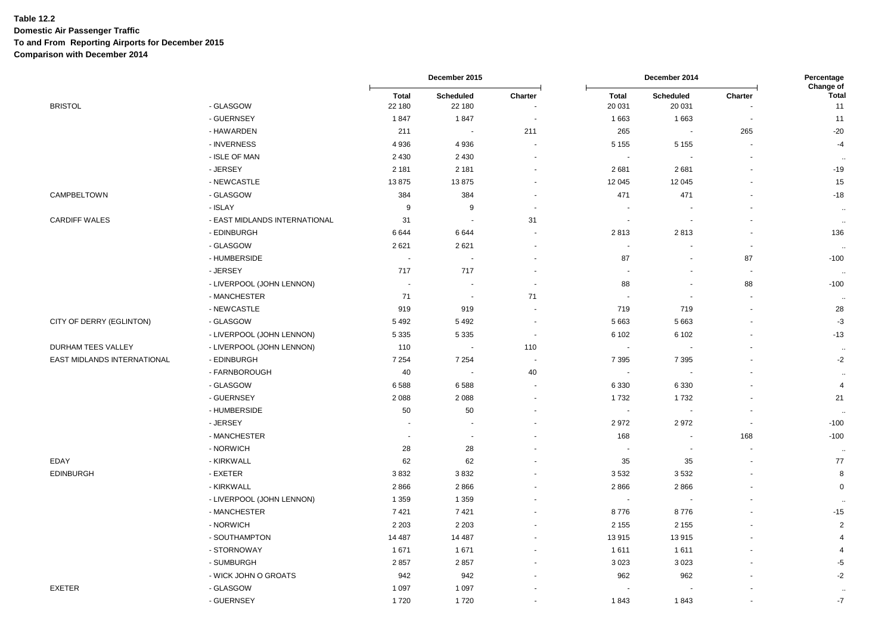|                             |                               | December 2015            |                       | December 2014            |                          |                          | Percentage<br>Change of  |                      |
|-----------------------------|-------------------------------|--------------------------|-----------------------|--------------------------|--------------------------|--------------------------|--------------------------|----------------------|
| <b>BRISTOL</b>              | - GLASGOW                     | <b>Total</b><br>22 180   | Scheduled<br>22 180   | Charter                  | <b>Total</b><br>20 031   | Scheduled<br>20 031      | Charter                  | <b>Total</b><br>11   |
|                             | - GUERNSEY                    | 1847                     | 1847                  |                          | 1663                     | 1663                     | $\sim$                   | 11                   |
|                             | - HAWARDEN                    | 211                      | $\tilde{\phantom{a}}$ | 211                      | 265                      | $\sim$                   | 265                      | $-20$                |
|                             | - INVERNESS                   | 4936                     | 4936                  | $\blacksquare$           | 5 1 5 5                  | 5 1 5 5                  | $\sim$                   | $-4$                 |
|                             | - ISLE OF MAN                 | 2 4 3 0                  | 2 4 3 0               | $\sim$                   |                          |                          | $\sim$                   | $\ddot{\phantom{a}}$ |
|                             | - JERSEY                      | 2 1 8 1                  | 2 1 8 1               | $\overline{\phantom{a}}$ | 2681                     | 2681                     | $\blacksquare$           | $-19$                |
|                             | - NEWCASTLE                   | 13875                    | 13875                 | $\sim$                   | 12 045                   | 12 045                   | $\sim$                   | 15                   |
| CAMPBELTOWN                 | - GLASGOW                     | 384                      | 384                   | $\blacksquare$           | 471                      | 471                      | $\blacksquare$           | $-18$                |
|                             | - ISLAY                       | 9                        | 9                     | $\overline{\phantom{a}}$ |                          |                          |                          | $\cdots$             |
| <b>CARDIFF WALES</b>        | - EAST MIDLANDS INTERNATIONAL | 31                       | Ĭ.                    | 31                       | $\overline{\phantom{a}}$ | $\sim$                   |                          | $\ddotsc$            |
|                             | - EDINBURGH                   | 6644                     | 6644                  | ÷.                       | 2813                     | 2813                     | $\sim$                   | 136                  |
|                             | - GLASGOW                     | 2621                     | 2621                  | $\sim$                   | $\sim$                   | $\overline{\phantom{a}}$ | $\sim$                   |                      |
|                             | - HUMBERSIDE                  | $\sim$                   | ÷,                    | $\overline{\phantom{a}}$ | 87                       |                          | 87                       | $-100$               |
|                             | - JERSEY                      | 717                      | 717                   | $\overline{\phantom{a}}$ | $\sim$                   |                          | $\sim$                   | $\ddotsc$            |
|                             | - LIVERPOOL (JOHN LENNON)     |                          |                       | $\overline{\phantom{a}}$ | 88                       |                          | 88                       | $-100$               |
|                             | - MANCHESTER                  | 71                       | $\sim$                | 71                       | $\overline{\phantom{a}}$ | $\sim$                   | $\sim$                   | $\ddot{\phantom{a}}$ |
|                             | - NEWCASTLE                   | 919                      | 919                   | $\overline{a}$           | 719                      | 719                      | $\blacksquare$           | 28                   |
| CITY OF DERRY (EGLINTON)    | - GLASGOW                     | 5 4 9 2                  | 5 4 9 2               | $\blacksquare$           | 5 6 6 3                  | 5 6 6 3                  | $\blacksquare$           | $-3$                 |
|                             | - LIVERPOOL (JOHN LENNON)     | 5 3 3 5                  | 5 3 3 5               | $\overline{\phantom{a}}$ | 6 1 0 2                  | 6 1 0 2                  | $\blacksquare$           | $-13$                |
| <b>DURHAM TEES VALLEY</b>   | - LIVERPOOL (JOHN LENNON)     | 110                      | ÷,                    | 110                      | $\sim$                   |                          |                          | $\ddot{\phantom{a}}$ |
| EAST MIDLANDS INTERNATIONAL | - EDINBURGH                   | 7 2 5 4                  | 7 2 5 4               | $\sim$                   | 7 3 9 5                  | 7 3 9 5                  | $\sim$                   | $-2$                 |
|                             | - FARNBOROUGH                 | 40                       | $\blacksquare$        | 40                       | $\sim$                   |                          |                          | $\ddot{\phantom{a}}$ |
|                             | - GLASGOW                     | 6588                     | 6588                  | $\overline{\phantom{a}}$ | 6 3 3 0                  | 6 3 3 0                  |                          | $\overline{4}$       |
|                             | - GUERNSEY                    | 2088                     | 2 0 8 8               | $\blacksquare$           | 1732                     | 1732                     |                          | 21                   |
|                             | - HUMBERSIDE                  | 50                       | 50                    | $\blacksquare$           | $\sim$                   | $\sim$                   | $\overline{\phantom{a}}$ | $\ddotsc$            |
|                             | - JERSEY                      | $\overline{\phantom{a}}$ | ÷                     | $\overline{\phantom{a}}$ | 2972                     | 2972                     | $\overline{\phantom{a}}$ | $-100$               |
|                             | - MANCHESTER                  | $\mathbf{r}$             | $\blacksquare$        |                          | 168                      | $\overline{\phantom{a}}$ | 168                      | $-100$               |
|                             | - NORWICH                     | 28                       | 28                    |                          |                          |                          | $\blacksquare$           | $\sim$               |
| EDAY                        | - KIRKWALL                    | 62                       | 62                    |                          | 35                       | 35                       | $\sim$                   | 77                   |
| <b>EDINBURGH</b>            | - EXETER                      | 3832                     | 3832                  | $\sim$                   | 3532                     | 3532                     | $\sim$                   | 8                    |
|                             | - KIRKWALL                    | 2866                     | 2866                  |                          | 2866                     | 2866                     |                          | $\mathbf 0$          |
|                             | - LIVERPOOL (JOHN LENNON)     | 1 3 5 9                  | 1 3 5 9               | $\blacksquare$           | $\sim$                   |                          |                          | $\ddot{\phantom{a}}$ |
|                             | - MANCHESTER                  | 7421                     | 7 4 21                |                          | 8776                     | 8776                     |                          | $-15$                |
|                             | - NORWICH                     | 2 2 0 3                  | 2 2 0 3               | $\sim$                   | 2 1 5 5                  | 2 1 5 5                  | $\sim$                   | $\overline{2}$       |
|                             | - SOUTHAMPTON                 | 14 4 8 7                 | 14 4 8 7              | $\sim$                   | 13 915                   | 13915                    | $\blacksquare$           | 4                    |
|                             | - STORNOWAY                   | 1 671                    | 1671                  | $\ddot{\phantom{1}}$     | 1611                     | 1611                     | $\sim$                   | $\overline{4}$       |
|                             | - SUMBURGH                    | 2857                     | 2857                  |                          | 3 0 2 3                  | 3023                     |                          | $-5$                 |
|                             | - WICK JOHN O GROATS          | 942                      | 942                   |                          | 962                      | 962                      |                          | $-2$                 |
| <b>EXETER</b>               | - GLASGOW                     | 1 0 9 7                  | 1 0 9 7               |                          |                          |                          |                          | $\ddotsc$            |
|                             | - GUERNSEY                    | 1720                     | 1720                  |                          | 1843                     | 1843                     |                          | $-7$                 |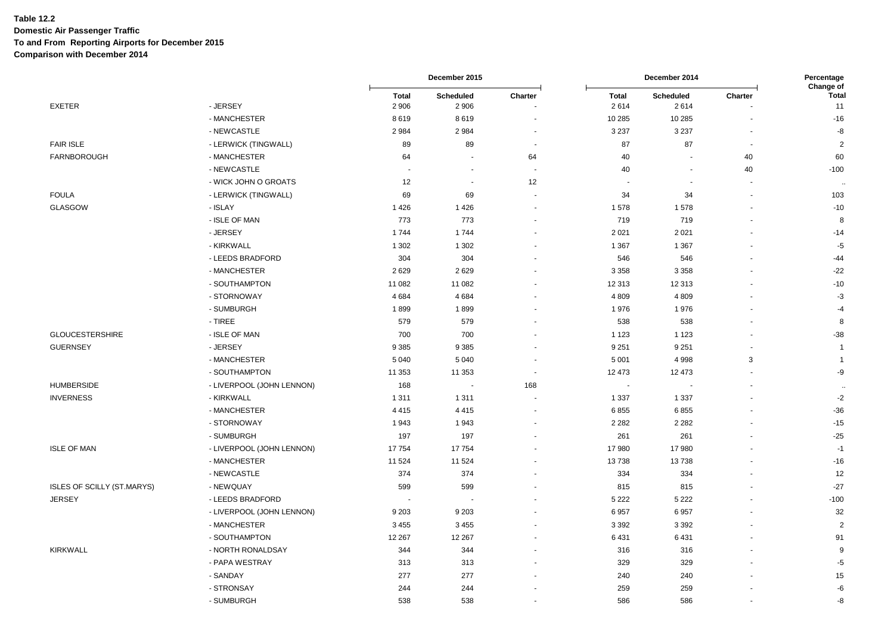|                                   |                           | December 2015            |                          |                      | Percentage<br>Change of |                          |                      |                      |
|-----------------------------------|---------------------------|--------------------------|--------------------------|----------------------|-------------------------|--------------------------|----------------------|----------------------|
| <b>EXETER</b>                     | - JERSEY                  | <b>Total</b><br>2 9 0 6  | Scheduled<br>2 9 0 6     | Charter              | <b>Total</b><br>2614    | Scheduled<br>2614        | Charter              | Total<br>11          |
|                                   | - MANCHESTER              | 8619                     | 8619                     |                      | 10 285                  | 10 285                   |                      | $-16$                |
|                                   | - NEWCASTLE               | 2984                     | 2984                     | $\blacksquare$       | 3 2 3 7                 | 3 2 3 7                  |                      | $-8$                 |
| <b>FAIR ISLE</b>                  | - LERWICK (TINGWALL)      | 89                       | 89                       | $\sim$               | 87                      | 87                       | ÷,                   | $\overline{2}$       |
| FARNBOROUGH                       | - MANCHESTER              | 64                       | $\overline{\phantom{a}}$ | 64                   | 40                      | $\overline{a}$           | 40                   | 60                   |
|                                   | - NEWCASTLE               | ÷.                       | ÷,                       | $\sim$               | 40                      | $\overline{\phantom{a}}$ | 40                   | $-100$               |
|                                   | - WICK JOHN O GROATS      | 12                       | $\sim$                   | 12                   |                         |                          |                      |                      |
| <b>FOULA</b>                      | - LERWICK (TINGWALL)      | 69                       | 69                       | $\sim$               | 34                      | 34                       |                      | 103                  |
| GLASGOW                           | - ISLAY                   | 1426                     | 1426                     |                      | 1578                    | 1578                     |                      | $-10$                |
|                                   | - ISLE OF MAN             | 773                      | 773                      | $\blacksquare$       | 719                     | 719                      |                      | 8                    |
|                                   | - JERSEY                  | 1744                     | 1744                     |                      | 2 0 2 1                 | 2021                     |                      | $-14$                |
|                                   | - KIRKWALL                | 1 3 0 2                  | 1 3 0 2                  |                      | 1 3 6 7                 | 1 3 6 7                  |                      | $-5$                 |
|                                   | - LEEDS BRADFORD          | 304                      | 304                      | $\ddot{\phantom{1}}$ | 546                     | 546                      | $\ddot{\phantom{1}}$ | $-44$                |
|                                   | - MANCHESTER              | 2629                     | 2 6 2 9                  |                      | 3 3 5 8                 | 3 3 5 8                  |                      | $-22$                |
|                                   | - SOUTHAMPTON             | 11 082                   | 11 082                   |                      | 12 313                  | 12 313                   |                      | $-10$                |
|                                   | - STORNOWAY               | 4684                     | 4684                     |                      | 4 8 0 9                 | 4809                     |                      | $-3$                 |
|                                   | - SUMBURGH                | 1899                     | 1899                     |                      | 1976                    | 1976                     |                      | $-4$                 |
|                                   | - TIREE                   | 579                      | 579                      |                      | 538                     | 538                      |                      | 8                    |
| <b>GLOUCESTERSHIRE</b>            | - ISLE OF MAN             | 700                      | 700                      |                      | 1 1 2 3                 | 1 1 2 3                  |                      | $-38$                |
| <b>GUERNSEY</b>                   | - JERSEY                  | 9 3 8 5                  | 9 3 8 5                  |                      | 9 2 5 1                 | 9 2 5 1                  |                      | $\overline{1}$       |
|                                   | - MANCHESTER              | 5 0 4 0                  | 5 0 4 0                  | ÷                    | 5 0 0 1                 | 4 9 9 8                  | 3                    | $\overline{1}$       |
|                                   | - SOUTHAMPTON             | 11 353                   | 11 353                   | $\sim$               | 12 473                  | 12 473                   | ÷.                   | -9                   |
| <b>HUMBERSIDE</b>                 | - LIVERPOOL (JOHN LENNON) | 168                      | $\ddot{\phantom{a}}$     | 168                  | ÷,                      |                          |                      | $\ddot{\phantom{a}}$ |
| <b>INVERNESS</b>                  | - KIRKWALL                | 1 3 1 1                  | 1 3 1 1                  |                      | 1 3 3 7                 | 1 3 3 7                  |                      | $\textnormal{-}2$    |
|                                   | - MANCHESTER              | 4 4 1 5                  | 4 4 1 5                  |                      | 6855                    | 6855                     |                      | $-36$                |
|                                   | - STORNOWAY               | 1943                     | 1943                     |                      | 2 2 8 2                 | 2 2 8 2                  |                      | $-15$                |
|                                   | - SUMBURGH                | 197                      | 197                      |                      | 261                     | 261                      |                      | $-25$                |
| <b>ISLE OF MAN</b>                | - LIVERPOOL (JOHN LENNON) | 17754                    | 17754                    |                      | 17 980                  | 17 980                   |                      | $-1$                 |
|                                   | - MANCHESTER              | 11 524                   | 11 524                   |                      | 13738                   | 13738                    |                      | $-16$                |
|                                   | - NEWCASTLE               | 374                      | 374                      |                      | 334                     | 334                      |                      | 12                   |
| <b>ISLES OF SCILLY (ST.MARYS)</b> | - NEWQUAY                 | 599                      | 599                      |                      | 815                     | 815                      |                      | $-27$                |
| <b>JERSEY</b>                     | - LEEDS BRADFORD          | $\overline{\phantom{a}}$ |                          |                      | 5 2 2 2                 | 5 2 2 2                  |                      | $-100$               |
|                                   | - LIVERPOOL (JOHN LENNON) | 9 2 0 3                  | 9 2 0 3                  |                      | 6957                    | 6957                     |                      | 32                   |
|                                   | - MANCHESTER              | 3 4 5 5                  | 3 4 5 5                  |                      | 3 3 9 2                 | 3 3 9 2                  |                      | $\overline{2}$       |
|                                   | - SOUTHAMPTON             | 12 267                   | 12 267                   |                      | 6 4 31                  | 6431                     |                      | 91                   |
| <b>KIRKWALL</b>                   | - NORTH RONALDSAY         | 344                      | 344                      |                      | 316                     | 316                      |                      | 9                    |
|                                   | - PAPA WESTRAY            | 313                      | 313                      |                      | 329                     | 329                      |                      | $-5$                 |
|                                   | - SANDAY                  | 277                      | 277                      |                      | 240                     | 240                      |                      | 15                   |
|                                   | - STRONSAY                | 244                      | 244                      |                      | 259                     | 259                      |                      | -6                   |
|                                   | - SUMBURGH                | 538                      | 538                      |                      | 586                     | 586                      |                      | -8                   |
|                                   |                           |                          |                          |                      |                         |                          |                      |                      |